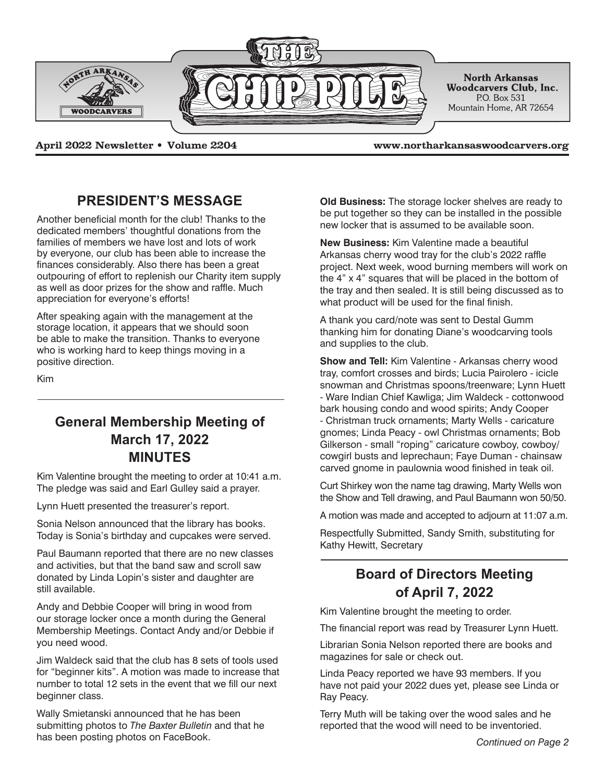

**April 2022 Newsletter • Volume 2204 www.northarkansaswoodcarvers.org**

### **PRESIDENT'S MESSAGE**

Another beneficial month for the club! Thanks to the dedicated members' thoughtful donations from the families of members we have lost and lots of work by everyone, our club has been able to increase the finances considerably. Also there has been a great outpouring of effort to replenish our Charity item supply as well as door prizes for the show and raffle. Much appreciation for everyone's efforts!

After speaking again with the management at the storage location, it appears that we should soon be able to make the transition. Thanks to everyone who is working hard to keep things moving in a positive direction.

Kim

## **General Membership Meeting of March 17, 2022 MINUTES**

Kim Valentine brought the meeting to order at 10:41 a.m. The pledge was said and Earl Gulley said a prayer.

Lynn Huett presented the treasurer's report.

Sonia Nelson announced that the library has books. Today is Sonia's birthday and cupcakes were served.

Paul Baumann reported that there are no new classes and activities, but that the band saw and scroll saw donated by Linda Lopin's sister and daughter are still available.

Andy and Debbie Cooper will bring in wood from our storage locker once a month during the General Membership Meetings. Contact Andy and/or Debbie if you need wood.

Jim Waldeck said that the club has 8 sets of tools used for "beginner kits". A motion was made to increase that number to total 12 sets in the event that we fill our next beginner class.

Wally Smietanski announced that he has been submitting photos to *The Baxter Bulletin* and that he has been posting photos on FaceBook. *Continued on Page 2*

**Old Business:** The storage locker shelves are ready to be put together so they can be installed in the possible new locker that is assumed to be available soon.

**New Business:** Kim Valentine made a beautiful Arkansas cherry wood tray for the club's 2022 raffle project. Next week, wood burning members will work on the 4" x 4" squares that will be placed in the bottom of the tray and then sealed. It is still being discussed as to what product will be used for the final finish.

A thank you card/note was sent to Destal Gumm thanking him for donating Diane's woodcarving tools and supplies to the club.

**Show and Tell:** Kim Valentine - Arkansas cherry wood tray, comfort crosses and birds; Lucia Pairolero - icicle snowman and Christmas spoons/treenware; Lynn Huett - Ware Indian Chief Kawliga; Jim Waldeck - cottonwood bark housing condo and wood spirits; Andy Cooper - Christman truck ornaments; Marty Wells - caricature gnomes; Linda Peacy - owl Christmas ornaments; Bob Gilkerson - small "roping" caricature cowboy, cowboy/ cowgirl busts and leprechaun; Faye Duman - chainsaw carved gnome in paulownia wood finished in teak oil.

Curt Shirkey won the name tag drawing, Marty Wells won the Show and Tell drawing, and Paul Baumann won 50/50.

A motion was made and accepted to adjourn at 11:07 a.m.

Respectfully Submitted, Sandy Smith, substituting for Kathy Hewitt, Secretary

# **Board of Directors Meeting of April 7, 2022**

Kim Valentine brought the meeting to order.

The financial report was read by Treasurer Lynn Huett.

Librarian Sonia Nelson reported there are books and magazines for sale or check out.

Linda Peacy reported we have 93 members. If you have not paid your 2022 dues yet, please see Linda or Ray Peacy.

Terry Muth will be taking over the wood sales and he reported that the wood will need to be inventoried.